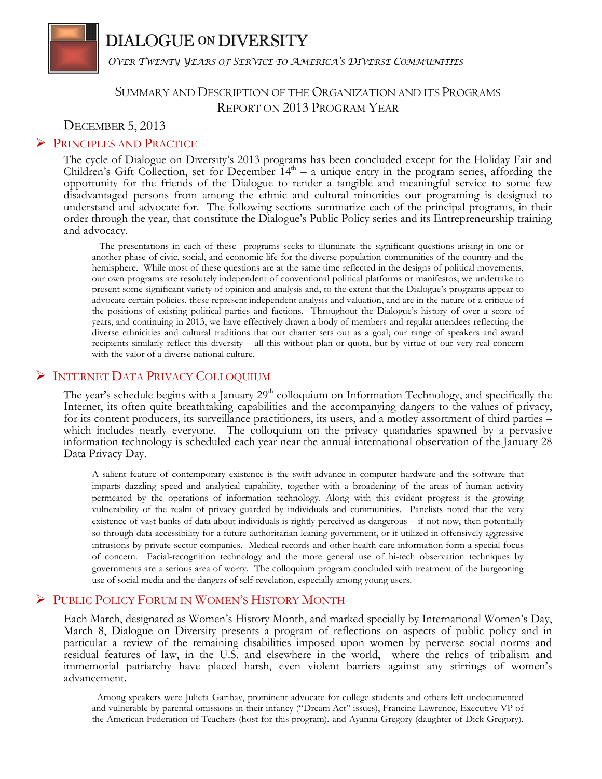# **DIALOGUE ON DIVERSITY**

*OVER TWENTY YEARS OF SERVICE TO AMERICA'S DIVERSE COMMUNITIES*

## SUMMARY AND DESCRIPTION OF THE ORGANIZATION AND ITS PROGRAMS REPORT ON 2013 PROGRAM YEAR

## DECEMBER 5, 2013

## **PRINCIPLES AND PRACTICE**

The cycle of Dialogue on Diversity's 2013 programs has been concluded except for the Holiday Fair and Children's Gift Collection, set for December  $14<sup>th</sup> - a$  unique entry in the program series, affording the opportunity for the friends of the Dialogue to render a tangible and meaningful service to some few disadvantaged persons from among the ethnic and cultural minorities our programing is designed to understand and advocate for. The following sections summarize each of the principal programs, in their order through the year, that constitute the Dialogue's Public Policy series and its Entrepreneurship training and advocacy.

 The presentations in each of these programs seeks to illuminate the significant questions arising in one or another phase of civic, social, and economic life for the diverse population communities of the country and the hemisphere. While most of these questions are at the same time reflected in the designs of political movements, our own programs are resolutely independent of conventional political platforms or manifestos; we undertake to present some significant variety of opinion and analysis and, to the extent that the Dialogue's programs appear to advocate certain policies, these represent independent analysis and valuation, and are in the nature of a critique of the positions of existing political parties and factions. Throughout the Dialogue's history of over a score of years, and continuing in 2013, we have effectively drawn a body of members and regular attendees reflecting the diverse ethnicities and cultural traditions that our charter sets out as a goal; our range of speakers and award recipients similarly reflect this diversity – all this without plan or quota, but by virtue of our very real concern with the valor of a diverse national culture.

## **FINTERNET DATA PRIVACY COLLOQUIUM**

The year's schedule begins with a January  $29<sup>th</sup>$  colloquium on Information Technology, and specifically the Internet, its often quite breathtaking capabilities and the accompanying dangers to the values of privacy, for its content producers, its surveillance practitioners, its users, and a motley assortment of third parties – which includes nearly everyone. The colloquium on the privacy quandaries spawned by a pervasive information technology is scheduled each year near the annual international observation of the January 28 Data Privacy Day.

A salient feature of contemporary existence is the swift advance in computer hardware and the software that imparts dazzling speed and analytical capability, together with a broadening of the areas of human activity permeated by the operations of information technology. Along with this evident progress is the growing vulnerability of the realm of privacy guarded by individuals and communities. Panelists noted that the very existence of vast banks of data about individuals is rightly perceived as dangerous – if not now, then potentially so through data accessibility for a future authoritarian leaning government, or if utilized in offensively aggressive intrusions by private sector companies. Medical records and other health care information form a special focus of concern. Facial-recognition technology and the more general use of hi-tech observation techniques by governments are a serious area of worry. The colloquium program concluded with treatment of the burgeoning use of social media and the dangers of self-revelation, especially among young users.

## PUBLIC POLICY FORUM IN WOMEN'S HISTORY MONTH

Each March, designated as Women's History Month, and marked specially by International Women's Day, March 8, Dialogue on Diversity presents a program of reflections on aspects of public policy and in particular a review of the remaining disabilities imposed upon women by perverse social norms and residual features of law, in the U.S. and elsewhere in the world, where the relics of tribalism and immemorial patriarchy have placed harsh, even violent barriers against any stirrings of women's advancement.

 Among speakers were Julieta Garibay, prominent advocate for college students and others left undocumented and vulnerable by parental omissions in their infancy ("Dream Act" issues), Francine Lawrence, Executive VP of the American Federation of Teachers (host for this program), and Ayanna Gregory (daughter of Dick Gregory),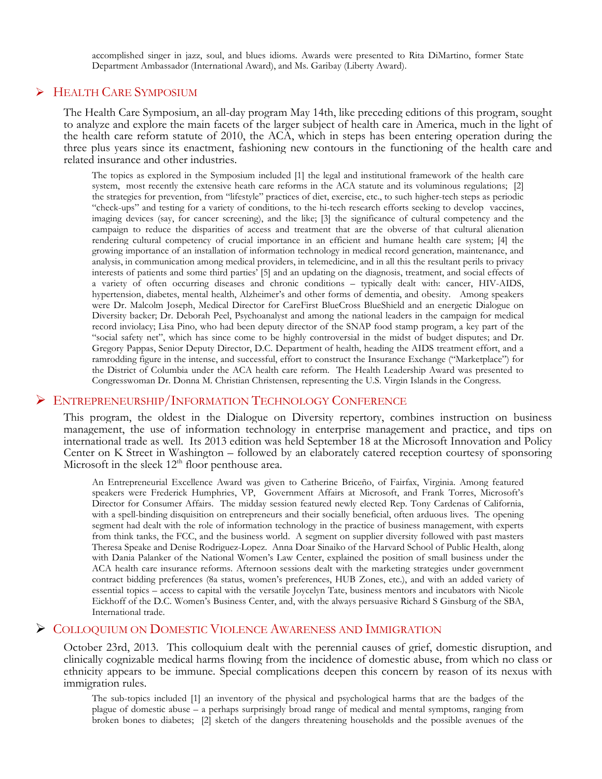accomplished singer in jazz, soul, and blues idioms. Awards were presented to Rita DiMartino, former State Department Ambassador (International Award), and Ms. Garibay (Liberty Award).

## HEALTH CARE SYMPOSIUM

The Health Care Symposium, an all-day program May 14th, like preceding editions of this program, sought to analyze and explore the main facets of the larger subject of health care in America, much in the light of the health care reform statute of 2010, the ACA, which in steps has been entering operation during the three plus years since its enactment, fashioning new contours in the functioning of the health care and related insurance and other industries.

The topics as explored in the Symposium included [1] the legal and institutional framework of the health care system, most recently the extensive heath care reforms in the ACA statute and its voluminous regulations; [2] the strategies for prevention, from "lifestyle" practices of diet, exercise, etc., to such higher-tech steps as periodic "check-ups" and testing for a variety of conditions, to the hi-tech research efforts seeking to develop vaccines, imaging devices (say, for cancer screening), and the like; [3] the significance of cultural competency and the campaign to reduce the disparities of access and treatment that are the obverse of that cultural alienation rendering cultural competency of crucial importance in an efficient and humane health care system; [4] the growing importance of an installation of information technology in medical record generation, maintenance, and analysis, in communication among medical providers, in telemedicine, and in all this the resultant perils to privacy interests of patients and some third parties' [5] and an updating on the diagnosis, treatment, and social effects of a variety of often occurring diseases and chronic conditions – typically dealt with: cancer, HIV-AIDS, hypertension, diabetes, mental health, Alzheimer's and other forms of dementia, and obesity. Among speakers were Dr. Malcolm Joseph, Medical Director for CareFirst BlueCross BlueShield and an energetic Dialogue on Diversity backer; Dr. Deborah Peel, Psychoanalyst and among the national leaders in the campaign for medical record inviolacy; Lisa Pino, who had been deputy director of the SNAP food stamp program, a key part of the "social safety net", which has since come to be highly controversial in the midst of budget disputes; and Dr. Gregory Pappas, Senior Deputy Director, D.C. Department of health, heading the AIDS treatment effort, and a ramrodding figure in the intense, and successful, effort to construct the Insurance Exchange ("Marketplace") for the District of Columbia under the ACA health care reform. The Health Leadership Award was presented to Congresswoman Dr. Donna M. Christian Christensen, representing the U.S. Virgin Islands in the Congress.

#### ENTREPRENEURSHIP/INFORMATION TECHNOLOGY CONFERENCE

This program, the oldest in the Dialogue on Diversity repertory, combines instruction on business management, the use of information technology in enterprise management and practice, and tips on international trade as well. Its 2013 edition was held September 18 at the Microsoft Innovation and Policy Center on K Street in Washington – followed by an elaborately catered reception courtesy of sponsoring Microsoft in the sleek  $12<sup>th</sup>$  floor penthouse area.

An Entrepreneurial Excellence Award was given to Catherine Briceño, of Fairfax, Virginia. Among featured speakers were Frederick Humphries, VP, Government Affairs at Microsoft, and Frank Torres, Microsoft's Director for Consumer Affairs. The midday session featured newly elected Rep. Tony Cardenas of California, with a spell-binding disquisition on entrepreneurs and their socially beneficial, often arduous lives. The opening segment had dealt with the role of information technology in the practice of business management, with experts from think tanks, the FCC, and the business world. A segment on supplier diversity followed with past masters Theresa Speake and Denise Rodriguez-Lopez. Anna Doar Sinaiko of the Harvard School of Public Health, along with Dania Palanker of the National Women's Law Center, explained the position of small business under the ACA health care insurance reforms. Afternoon sessions dealt with the marketing strategies under government contract bidding preferences (8a status, women's preferences, HUB Zones, etc.), and with an added variety of essential topics – access to capital with the versatile Joycelyn Tate, business mentors and incubators with Nicole Eickhoff of the D.C. Women's Business Center, and, with the always persuasive Richard S Ginsburg of the SBA, International trade.

#### **EXECUTED ON DOMESTIC VIOLENCE AWARENESS AND IMMIGRATION**

October 23rd, 2013. This colloquium dealt with the perennial causes of grief, domestic disruption, and clinically cognizable medical harms flowing from the incidence of domestic abuse, from which no class or ethnicity appears to be immune. Special complications deepen this concern by reason of its nexus with immigration rules.

The sub-topics included [1] an inventory of the physical and psychological harms that are the badges of the plague of domestic abuse – a perhaps surprisingly broad range of medical and mental symptoms, ranging from broken bones to diabetes; [2] sketch of the dangers threatening households and the possible avenues of the